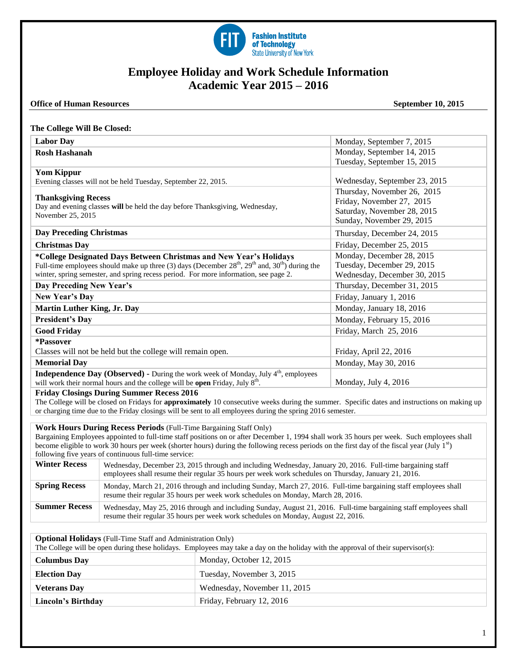

# **Employee Holiday and Work Schedule Information Academic Year 2015 – 2016**

### **Office of Human Resources** September 10, 2015

#### **The College Will Be Closed:**

| <b>Labor Day</b>                                                                                     | Monday, September 7, 2015     |
|------------------------------------------------------------------------------------------------------|-------------------------------|
| <b>Rosh Hashanah</b>                                                                                 | Monday, September 14, 2015    |
|                                                                                                      | Tuesday, September 15, 2015   |
| <b>Yom Kippur</b>                                                                                    |                               |
| Evening classes will not be held Tuesday, September 22, 2015.                                        | Wednesday, September 23, 2015 |
| <b>Thanksgiving Recess</b>                                                                           | Thursday, November 26, 2015   |
| Day and evening classes will be held the day before Thanksgiving, Wednesday,                         | Friday, November 27, 2015     |
| November 25, 2015                                                                                    | Saturday, November 28, 2015   |
|                                                                                                      | Sunday, November 29, 2015     |
| <b>Day Preceding Christmas</b>                                                                       | Thursday, December 24, 2015   |
| <b>Christmas Day</b>                                                                                 | Friday, December 25, 2015     |
| *College Designated Days Between Christmas and New Year's Holidays                                   | Monday, December 28, 2015     |
| Full-time employees should make up three (3) days (December $28th$ , $29th$ and, $30th$ ) during the | Tuesday, December 29, 2015    |
| winter, spring semester, and spring recess period. For more information, see page 2.                 | Wednesday, December 30, 2015  |
| Day Preceding New Year's                                                                             | Thursday, December 31, 2015   |
| New Year's Day                                                                                       | Friday, January 1, 2016       |
| <b>Martin Luther King, Jr. Day</b>                                                                   | Monday, January 18, 2016      |
| <b>President's Day</b>                                                                               | Monday, February 15, 2016     |
| <b>Good Friday</b>                                                                                   | Friday, March 25, 2016        |
| *Passover                                                                                            |                               |
| Classes will not be held but the college will remain open.                                           | Friday, April 22, 2016        |
| <b>Memorial Day</b>                                                                                  | Monday, May 30, 2016          |
| <b>Independence Day (Observed)</b> - During the work week of Monday, July $4th$ , employees          |                               |
| will work their normal hours and the college will be open Friday, July 8 <sup>th</sup> .             | Monday, July 4, 2016          |

### **Friday Closings During Summer Recess 2016**

The College will be closed on Fridays for **approximately** 10 consecutive weeks during the summer. Specific dates and instructions on making up or charging time due to the Friday closings will be sent to all employees during the spring 2016 semester.

# **Work Hours During Recess Periods** (Full-Time Bargaining Staff Only)

Bargaining Employees appointed to full-time staff positions on or after December 1, 1994 shall work 35 hours per week. Such employees shall become eligible to work 30 hours per week (shorter hours) during the following recess periods on the first day of the fiscal year (July  $1<sup>st</sup>$ ) following five years of continuous full-time service:

| <b>Winter Recess</b> | Wednesday, December 23, 2015 through and including Wednesday, January 20, 2016. Full-time bargaining staff<br>employees shall resume their regular 35 hours per week work schedules on Thursday, January 21, 2016. |
|----------------------|--------------------------------------------------------------------------------------------------------------------------------------------------------------------------------------------------------------------|
| <b>Spring Recess</b> | Monday, March 21, 2016 through and including Sunday, March 27, 2016. Full-time bargaining staff employees shall<br>resume their regular 35 hours per week work schedules on Monday, March 28, 2016.                |
| <b>Summer Recess</b> | Wednesday, May 25, 2016 through and including Sunday, August 21, 2016. Full-time bargaining staff employees shall<br>resume their regular 35 hours per week work schedules on Monday, August 22, 2016.             |

| <b>Optional Holidays</b> (Full-Time Staff and Administration Only)<br>The College will be open during these holidays. Employees may take a day on the holiday with the approval of their supervisor(s): |                              |  |
|---------------------------------------------------------------------------------------------------------------------------------------------------------------------------------------------------------|------------------------------|--|
| <b>Columbus Day</b>                                                                                                                                                                                     | Monday, October 12, 2015     |  |
| <b>Election Day</b>                                                                                                                                                                                     | Tuesday, November 3, 2015    |  |
| <b>Veterans Day</b>                                                                                                                                                                                     | Wednesday, November 11, 2015 |  |
| Lincoln's Birthday                                                                                                                                                                                      | Friday, February 12, 2016    |  |